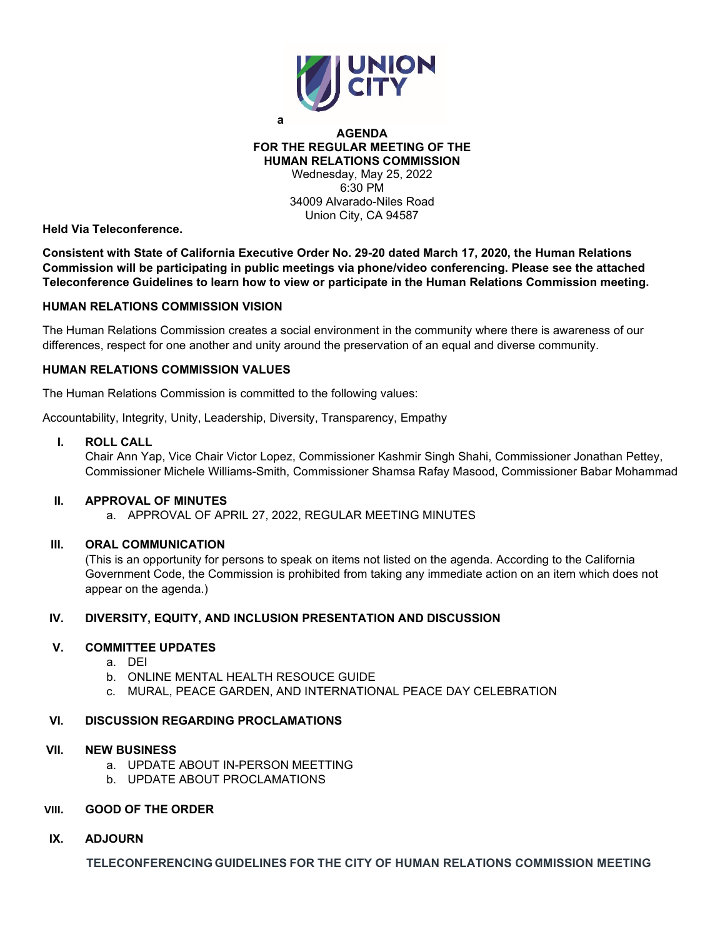

**a**

## **AGENDA FOR THE REGULAR MEETING OF THE HUMAN RELATIONS COMMISSION** Wednesday, May 25, 2022 6:30 PM 34009 Alvarado-Niles Road Union City, CA 94587

**Held Via Teleconference.**

**Consistent with State of California Executive Order No. 29-20 dated March 17, 2020, the Human Relations Commission will be participating in public meetings via phone/video conferencing. Please see the attached Teleconference Guidelines to learn how to view or participate in the Human Relations Commission meeting.** 

## **HUMAN RELATIONS COMMISSION VISION**

The Human Relations Commission creates a social environment in the community where there is awareness of our differences, respect for one another and unity around the preservation of an equal and diverse community.

# **HUMAN RELATIONS COMMISSION VALUES**

The Human Relations Commission is committed to the following values:

Accountability, Integrity, Unity, Leadership, Diversity, Transparency, Empathy

#### **I. ROLL CALL**

Chair Ann Yap, Vice Chair Victor Lopez, Commissioner Kashmir Singh Shahi, Commissioner Jonathan Pettey, Commissioner Michele Williams-Smith, Commissioner Shamsa Rafay Masood, Commissioner Babar Mohammad

# **II. APPROVAL OF MINUTES**

a. APPROVAL OF APRIL 27, 2022, REGULAR MEETING MINUTES

## **III. ORAL COMMUNICATION**

(This is an opportunity for persons to speak on items not listed on the agenda. According to the California Government Code, the Commission is prohibited from taking any immediate action on an item which does not appear on the agenda.)

# **IV. DIVERSITY, EQUITY, AND INCLUSION PRESENTATION AND DISCUSSION**

## **V. COMMITTEE UPDATES**

- a. DEI
- b. ONLINE MENTAL HEALTH RESOUCE GUIDE
- c. MURAL, PEACE GARDEN, AND INTERNATIONAL PEACE DAY CELEBRATION

#### **VI. DISCUSSION REGARDING PROCLAMATIONS**

#### **VII. NEW BUSINESS**

- a. UPDATE ABOUT IN-PERSON MEETTING
- b. UPDATE ABOUT PROCLAMATIONS

## **VIII. GOOD OF THE ORDER**

**IX. ADJOURN**

**TELECONFERENCING GUIDELINES FOR THE CITY OF HUMAN RELATIONS COMMISSION MEETING**